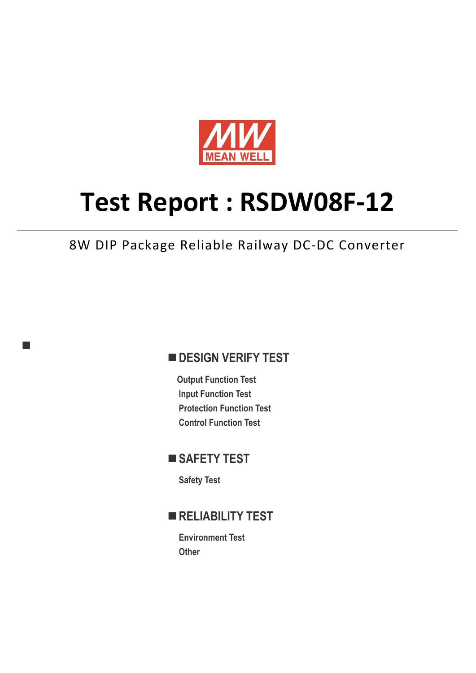

# **Test Report : RSDW08F-12**

8W DIP Package Reliable Railway DC-DC Converter

## **DESIGN VERIFY TEST**

**Output Function Test Input Function Test Protection Function Test Control Function Test** 

## ■ SAFETY TEST

**Safety Test** 

٦

### **RELIABILITY TEST**

**Environment Test Other**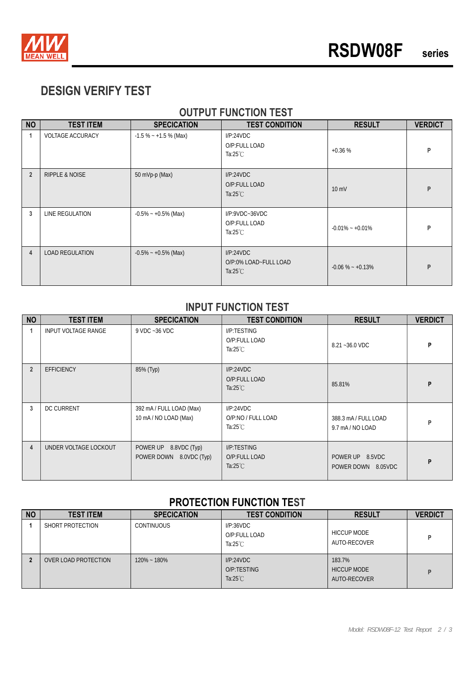

# **DESIGN VERIFY TEST**

#### **OUTPUT FUNCTION TEST**

| <b>NO</b>      | <b>TEST ITEM</b>          | <b>SPECICATION</b>      | <b>TEST CONDITION</b>                                         | <b>RESULT</b>       | <b>VERDICT</b> |
|----------------|---------------------------|-------------------------|---------------------------------------------------------------|---------------------|----------------|
| 1              | <b>VOLTAGE ACCURACY</b>   | $-1.5\% - +1.5\%$ (Max) | I/P:24VDC<br>O/P:FULL LOAD<br>Ta: $25^{\circ}$ C              | $+0.36%$            | P              |
| $\overline{2}$ | <b>RIPPLE &amp; NOISE</b> | 50 mVp-p (Max)          | I/P:24VDC<br>O/P:FULL LOAD<br>Ta: $25^{\circ}$ C              | $10 \text{ mV}$     | P              |
| 3              | LINE REGULATION           | $-0.5\% - +0.5\%$ (Max) | $I/P$ : $9VDC - 36VDC$<br>O/P:FULL LOAD<br>Ta: $25^{\circ}$ C | $-0.01\% - +0.01\%$ | P              |
| $\overline{4}$ | <b>LOAD REGULATION</b>    | $-0.5\% - +0.5\%$ (Max) | I/P:24VDC<br>O/P:0% LOAD~FULL LOAD<br>Ta: $25^{\circ}$ C      | $-0.06\% - +0.13\%$ | P              |

#### **INPUT FUNCTION TEST**

| <b>NO</b>      | <b>TEST ITEM</b>      | <b>SPECICATION</b>                                | <b>TEST CONDITION</b>                              | <b>RESULT</b>                         | <b>VERDICT</b> |
|----------------|-----------------------|---------------------------------------------------|----------------------------------------------------|---------------------------------------|----------------|
|                | INPUT VOLTAGE RANGE   | 9 VDC ~36 VDC                                     | I/P:TESTING<br>O/P:FULL LOAD<br>Ta:25 $°C$         | 8.21~36.0 VDC                         | P              |
| $\overline{2}$ | <b>EFFICIENCY</b>     | 85% (Typ)                                         | I/P:24VDC<br>O/P:FULL LOAD<br>Ta: $25^{\circ}$ C   | 85.81%                                | P              |
| 3              | <b>DC CURRENT</b>     | 392 mA / FULL LOAD (Max)<br>10 mA / NO LOAD (Max) | I/P:24VDC<br>O/P:NO / FULL LOAD<br>Ta:25 $°C$      | 388.3 mA/FULL LOAD<br>9.7 mA/NO LOAD  | P              |
| 4              | UNDER VOLTAGE LOCKOUT | POWER UP 8.8VDC (Typ)<br>POWER DOWN 8.0VDC (Typ)  | I/P:TESTING<br>O/P:FULL LOAD<br>Ta: $25^{\circ}$ C | POWER UP 8.5VDC<br>POWER DOWN 8.05VDC | P              |

#### **PROTECTION FUNCTION TEST**

| <b>NO</b> | <b>TEST ITEM</b>     | <b>SPECICATION</b> | <b>TEST CONDITION</b>                            | <b>RESULT</b>                                | <b>VERDICT</b> |
|-----------|----------------------|--------------------|--------------------------------------------------|----------------------------------------------|----------------|
|           | SHORT PROTECTION     | <b>CONTINUOUS</b>  | I/P:36VDC<br>O/P:FULL LOAD<br>Ta: $25^{\circ}$ C | <b>HICCUP MODE</b><br>AUTO-RECOVER           | Þ              |
|           | OVER LOAD PROTECTION | $120\% - 180\%$    | I/P:24VDC<br>O/P:TESTING<br>Ta: $25^{\circ}$ C   | 183.7%<br><b>HICCUP MODE</b><br>AUTO-RECOVER | D              |